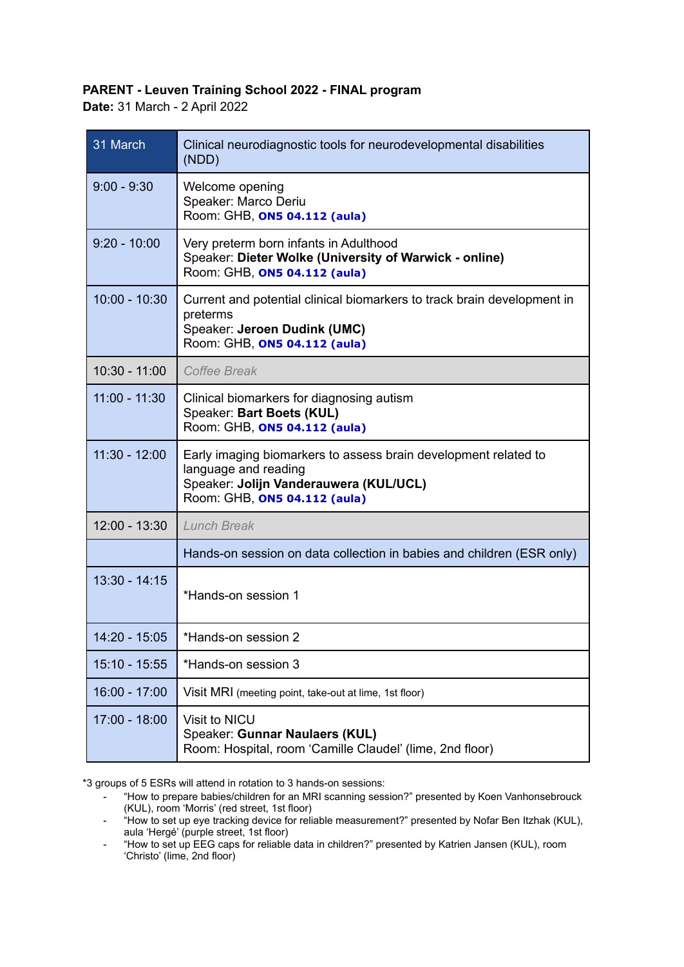## **PARENT - Leuven Training School 2022 - FINAL program**

**Date:** 31 March - 2 April 2022

| 31 March        | Clinical neurodiagnostic tools for neurodevelopmental disabilities<br>(NDD)                                                                                       |
|-----------------|-------------------------------------------------------------------------------------------------------------------------------------------------------------------|
| $9:00 - 9:30$   | Welcome opening<br>Speaker: Marco Deriu<br>Room: GHB, ON5 04.112 (aula)                                                                                           |
| $9:20 - 10:00$  | Very preterm born infants in Adulthood<br>Speaker: Dieter Wolke (University of Warwick - online)<br>Room: GHB, ON5 04.112 (aula)                                  |
| $10:00 - 10:30$ | Current and potential clinical biomarkers to track brain development in<br>preterms<br>Speaker: Jeroen Dudink (UMC)<br>Room: GHB, ON5 04.112 (aula)               |
| 10:30 - 11:00   | <b>Coffee Break</b>                                                                                                                                               |
| $11:00 - 11:30$ | Clinical biomarkers for diagnosing autism<br>Speaker: Bart Boets (KUL)<br>Room: GHB, ON5 04.112 (aula)                                                            |
| $11:30 - 12:00$ | Early imaging biomarkers to assess brain development related to<br>language and reading<br>Speaker: Jolijn Vanderauwera (KUL/UCL)<br>Room: GHB, ON5 04.112 (aula) |
| 12:00 - 13:30   | <b>Lunch Break</b>                                                                                                                                                |
|                 | Hands-on session on data collection in babies and children (ESR only)                                                                                             |
| $13:30 - 14:15$ | *Hands-on session 1                                                                                                                                               |
| $14:20 - 15:05$ | *Hands-on session 2                                                                                                                                               |
| 15:10 - 15:55   | *Hands-on session 3                                                                                                                                               |
| $16:00 - 17:00$ | Visit MRI (meeting point, take-out at lime, 1st floor)                                                                                                            |
| $17:00 - 18:00$ | Visit to NICU<br>Speaker: Gunnar Naulaers (KUL)<br>Room: Hospital, room 'Camille Claudel' (lime, 2nd floor)                                                       |

\*3 groups of 5 ESRs will attend in rotation to 3 hands-on sessions:

<sup>-</sup> "How to prepare babies/children for an MRI scanning session?" presented by Koen Vanhonsebrouck (KUL), room 'Morris' (red street, 1st floor)

<sup>-</sup> "How to set up eye tracking device for reliable measurement?" presented by Nofar Ben Itzhak (KUL), aula 'Hergé' (purple street, 1st floor)

<sup>-</sup> "How to set up EEG caps for reliable data in children?" presented by Katrien Jansen (KUL), room 'Christo' (lime, 2nd floor)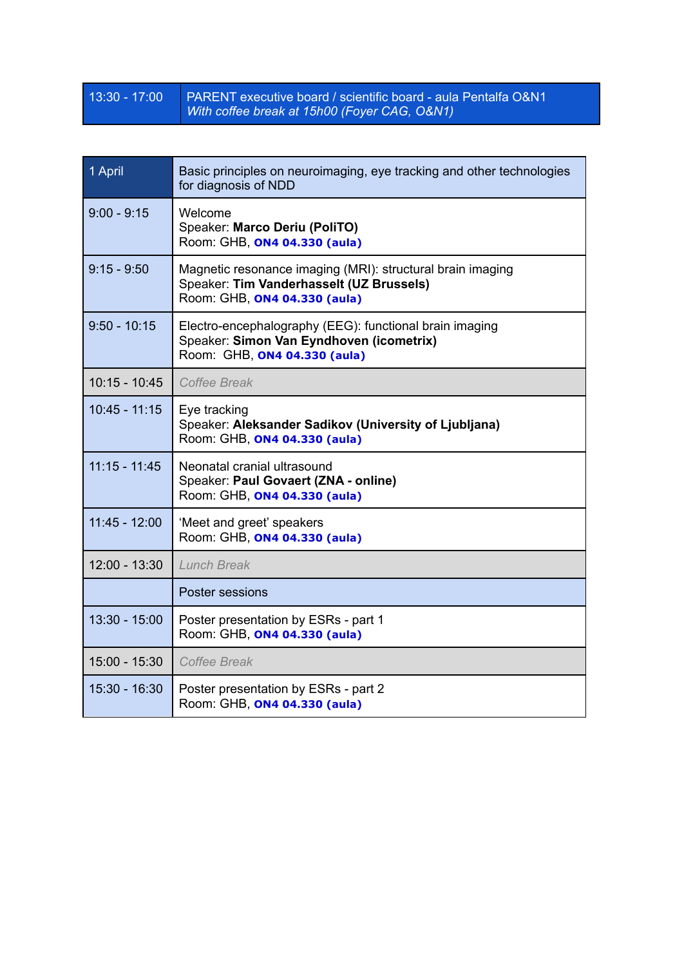## 13:30 - 17:00 PARENT executive board / scientific board - aula Pentalfa O&N1 *With coffee break at 15h00 (Foyer CAG, O&N1)*

| 1 April         | Basic principles on neuroimaging, eye tracking and other technologies<br>for diagnosis of NDD                                          |
|-----------------|----------------------------------------------------------------------------------------------------------------------------------------|
| $9:00 - 9:15$   | Welcome<br>Speaker: Marco Deriu (PoliTO)<br>Room: GHB, ON4 04.330 (aula)                                                               |
| $9:15 - 9:50$   | Magnetic resonance imaging (MRI): structural brain imaging<br>Speaker: Tim Vanderhasselt (UZ Brussels)<br>Room: GHB, ON4 04.330 (aula) |
| $9:50 - 10:15$  | Electro-encephalography (EEG): functional brain imaging<br>Speaker: Simon Van Eyndhoven (icometrix)<br>Room: GHB, ON4 04.330 (aula)    |
| $10:15 - 10:45$ | Coffee Break                                                                                                                           |
| $10:45 - 11:15$ | Eye tracking<br>Speaker: Aleksander Sadikov (University of Ljubljana)<br>Room: GHB, ON4 04.330 (aula)                                  |
| $11:15 - 11:45$ | Neonatal cranial ultrasound<br>Speaker: Paul Govaert (ZNA - online)<br>Room: GHB, ON4 04.330 (aula)                                    |
| $11:45 - 12:00$ | 'Meet and greet' speakers<br>Room: GHB, ON4 04.330 (aula)                                                                              |
| 12:00 - 13:30   | <b>Lunch Break</b>                                                                                                                     |
|                 | Poster sessions                                                                                                                        |
| $13:30 - 15:00$ | Poster presentation by ESRs - part 1<br>Room: GHB, ON4 04.330 (aula)                                                                   |
| $15:00 - 15:30$ | Coffee Break                                                                                                                           |
| $15:30 - 16:30$ | Poster presentation by ESRs - part 2<br>Room: GHB, ON4 04.330 (aula)                                                                   |